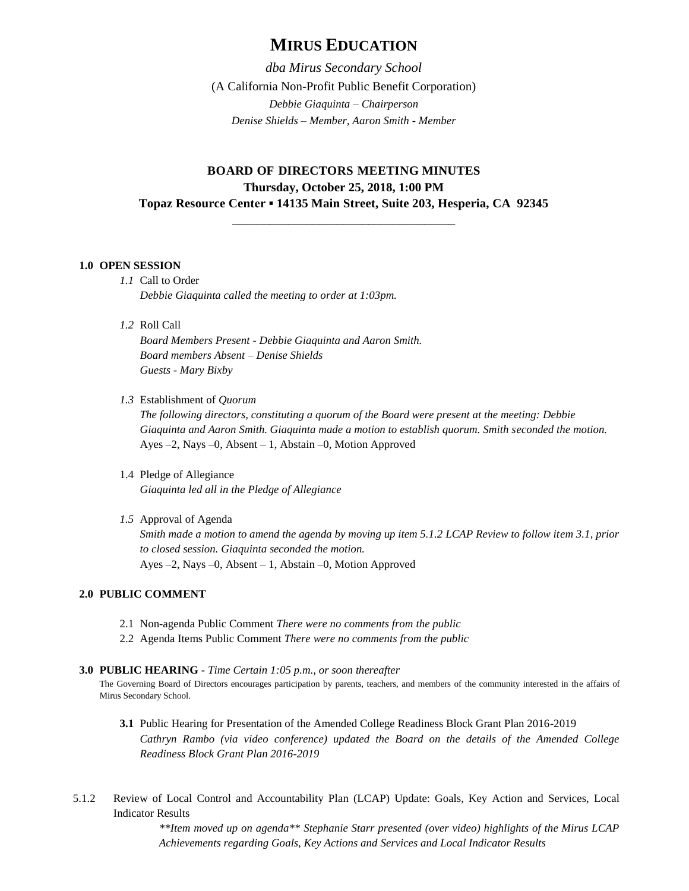# **MIRUS EDUCATION**

*dba Mirus Secondary School* (A California Non-Profit Public Benefit Corporation) *Debbie Giaquinta – Chairperson Denise Shields – Member, Aaron Smith - Member*

## **BOARD OF DIRECTORS MEETING MINUTES Thursday, October 25, 2018, 1:00 PM Topaz Resource Center ▪ 14135 Main Street, Suite 203, Hesperia, CA 92345**

\_\_\_\_\_\_\_\_\_\_\_\_\_\_\_\_\_\_\_\_\_\_\_\_\_\_\_\_\_\_\_\_\_\_\_\_

#### **1.0 OPEN SESSION**

- *1.1* Call to Order *Debbie Giaquinta called the meeting to order at 1:03pm.*
- *1.2* Roll Call

*Board Members Present - Debbie Giaquinta and Aaron Smith. Board members Absent – Denise Shields Guests - Mary Bixby*

*1.3* Establishment of *Quorum*

*The following directors, constituting a quorum of the Board were present at the meeting: Debbie Giaquinta and Aaron Smith. Giaquinta made a motion to establish quorum. Smith seconded the motion.* Ayes –2, Nays –0, Absent – 1, Abstain –0, Motion Approved

- 1.4 Pledge of Allegiance *Giaquinta led all in the Pledge of Allegiance*
- *1.5* Approval of Agenda

*Smith made a motion to amend the agenda by moving up item 5.1.2 LCAP Review to follow item 3.1, prior to closed session. Giaquinta seconded the motion.*  Ayes –2, Nays –0, Absent – 1, Abstain –0, Motion Approved

## **2.0 PUBLIC COMMENT**

- 2.1 Non-agenda Public Comment *There were no comments from the public*
- 2.2 Agenda Items Public Comment *There were no comments from the public*
- **3.0 PUBLIC HEARING -** *Time Certain 1:05 p.m., or soon thereafter*

The Governing Board of Directors encourages participation by parents, teachers, and members of the community interested in the affairs of Mirus Secondary School.

- **3.1** Public Hearing for Presentation of the Amended College Readiness Block Grant Plan 2016-2019 *Cathryn Rambo (via video conference) updated the Board on the details of the Amended College Readiness Block Grant Plan 2016-2019*
- 5.1.2 Review of Local Control and Accountability Plan (LCAP) Update: Goals, Key Action and Services, Local Indicator Results

*\*\*Item moved up on agenda\*\* Stephanie Starr presented (over video) highlights of the Mirus LCAP Achievements regarding Goals, Key Actions and Services and Local Indicator Results*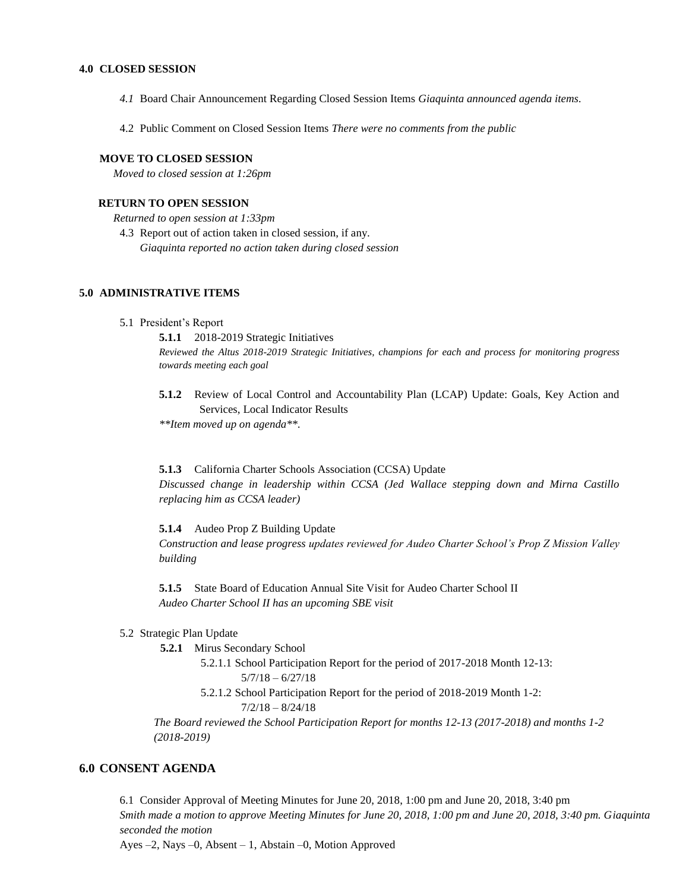#### **4.0 CLOSED SESSION**

- *4.1* Board Chair Announcement Regarding Closed Session Items *Giaquinta announced agenda items.*
- 4.2 Public Comment on Closed Session Items *There were no comments from the public*

#### **MOVE TO CLOSED SESSION**

*Moved to closed session at 1:26pm*

### **RETURN TO OPEN SESSION**

*Returned to open session at 1:33pm*

4.3 Report out of action taken in closed session, if any. *Giaquinta reported no action taken during closed session*

#### **5.0 ADMINISTRATIVE ITEMS**

#### 5.1 President's Report

**5.1.1** 2018-2019 Strategic Initiatives *Reviewed the Altus 2018-2019 Strategic Initiatives, champions for each and process for monitoring progress towards meeting each goal*

**5.1.2** Review of Local Control and Accountability Plan (LCAP) Update: Goals, Key Action and Services, Local Indicator Results

*\*\*Item moved up on agenda\*\*.* 

**5.1.3** California Charter Schools Association (CCSA) Update

*Discussed change in leadership within CCSA (Jed Wallace stepping down and Mirna Castillo replacing him as CCSA leader)*

**5.1.4** Audeo Prop Z Building Update

*Construction and lease progress updates reviewed for Audeo Charter School's Prop Z Mission Valley building*

**5.1.5** State Board of Education Annual Site Visit for Audeo Charter School II *Audeo Charter School II has an upcoming SBE visit*

- 5.2 Strategic Plan Update
	- **5.2.1** Mirus Secondary School
		- 5.2.1.1 School Participation Report for the period of 2017-2018 Month 12-13:
			- $5/7/18 6/27/18$
			- 5.2.1.2 School Participation Report for the period of 2018-2019 Month 1-2:  $7/2/18 - 8/24/18$

*The Board reviewed the School Participation Report for months 12-13 (2017-2018) and months 1-2 (2018-2019)*

## **6.0 CONSENT AGENDA**

6.1 Consider Approval of Meeting Minutes for June 20, 2018, 1:00 pm and June 20, 2018, 3:40 pm *Smith made a motion to approve Meeting Minutes for June 20, 2018, 1:00 pm and June 20, 2018, 3:40 pm. Giaquinta seconded the motion*

Ayes –2, Nays –0, Absent – 1, Abstain –0, Motion Approved